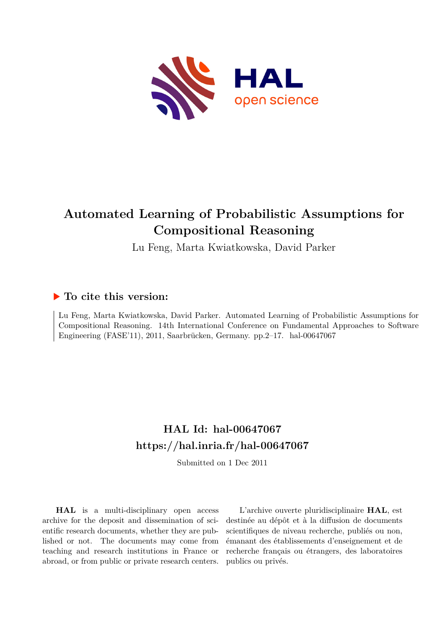

# **Automated Learning of Probabilistic Assumptions for Compositional Reasoning**

Lu Feng, Marta Kwiatkowska, David Parker

# **To cite this version:**

Lu Feng, Marta Kwiatkowska, David Parker. Automated Learning of Probabilistic Assumptions for Compositional Reasoning. 14th International Conference on Fundamental Approaches to Software Engineering (FASE'11), 2011, Saarbrücken, Germany. pp.2–17. hal-00647067

# **HAL Id: hal-00647067 <https://hal.inria.fr/hal-00647067>**

Submitted on 1 Dec 2011

**HAL** is a multi-disciplinary open access archive for the deposit and dissemination of scientific research documents, whether they are published or not. The documents may come from teaching and research institutions in France or abroad, or from public or private research centers.

L'archive ouverte pluridisciplinaire **HAL**, est destinée au dépôt et à la diffusion de documents scientifiques de niveau recherche, publiés ou non, émanant des établissements d'enseignement et de recherche français ou étrangers, des laboratoires publics ou privés.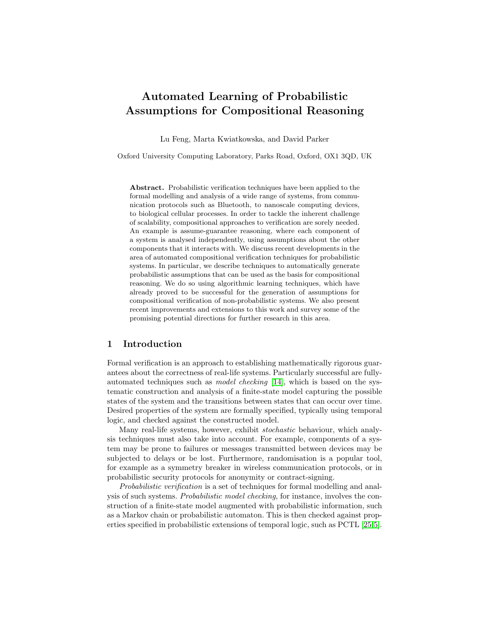# Automated Learning of Probabilistic Assumptions for Compositional Reasoning

Lu Feng, Marta Kwiatkowska, and David Parker

Oxford University Computing Laboratory, Parks Road, Oxford, OX1 3QD, UK

Abstract. Probabilistic verification techniques have been applied to the formal modelling and analysis of a wide range of systems, from communication protocols such as Bluetooth, to nanoscale computing devices, to biological cellular processes. In order to tackle the inherent challenge of scalability, compositional approaches to verification are sorely needed. An example is assume-guarantee reasoning, where each component of a system is analysed independently, using assumptions about the other components that it interacts with. We discuss recent developments in the area of automated compositional verification techniques for probabilistic systems. In particular, we describe techniques to automatically generate probabilistic assumptions that can be used as the basis for compositional reasoning. We do so using algorithmic learning techniques, which have already proved to be successful for the generation of assumptions for compositional verification of non-probabilistic systems. We also present recent improvements and extensions to this work and survey some of the promising potential directions for further research in this area.

#### 1 Introduction

Formal verification is an approach to establishing mathematically rigorous guarantees about the correctness of real-life systems. Particularly successful are fullyautomated techniques such as model checking [14], which is based on the systematic construction and analysis of a finite-state model capturing the possible states of the system and the transitions between states that can occur over time. Desired properties of the system are formally specified, typically using temporal logic, and checked against the constructed model.

Many real-life systems, however, exhibit stochastic behaviour, which analysis techniques must also take into account. For example, components of a system may be prone to failures or messages transmitted between devices may be subjected to delays or be lost. Furthermore, randomisation is a popular tool, for example as a symmetry breaker in wireless communication protocols, or in probabilistic security protocols for anonymity or contract-signing.

Probabilistic verification is a set of techniques for formal modelling and analysis of such systems. Probabilistic model checking, for instance, involves the construction of a finite-state model augmented with probabilistic information, such as a Markov chain or probabilistic automaton. This is then checked against properties specified in probabilistic extensions of temporal logic, such as PCTL [25,5].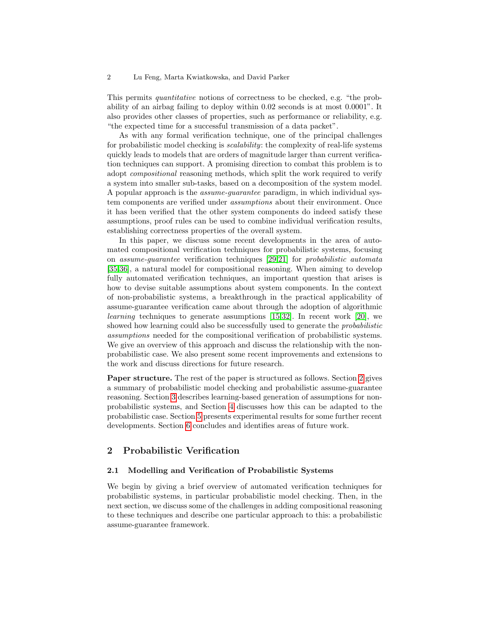#### 2 Lu Feng, Marta Kwiatkowska, and David Parker

This permits quantitative notions of correctness to be checked, e.g. "the probability of an airbag failing to deploy within 0.02 seconds is at most 0.0001". It also provides other classes of properties, such as performance or reliability, e.g. "the expected time for a successful transmission of a data packet".

As with any formal verification technique, one of the principal challenges for probabilistic model checking is scalability: the complexity of real-life systems quickly leads to models that are orders of magnitude larger than current verification techniques can support. A promising direction to combat this problem is to adopt compositional reasoning methods, which split the work required to verify a system into smaller sub-tasks, based on a decomposition of the system model. A popular approach is the assume-guarantee paradigm, in which individual system components are verified under assumptions about their environment. Once it has been verified that the other system components do indeed satisfy these assumptions, proof rules can be used to combine individual verification results, establishing correctness properties of the overall system.

In this paper, we discuss some recent developments in the area of automated compositional verification techniques for probabilistic systems, focusing on assume-guarantee verification techniques [29,21] for probabilistic automata [35,36], a natural model for compositional reasoning. When aiming to develop fully automated verification techniques, an important question that arises is how to devise suitable assumptions about system components. In the context of non-probabilistic systems, a breakthrough in the practical applicability of assume-guarantee verification came about through the adoption of algorithmic learning techniques to generate assumptions [15,32]. In recent work [20], we showed how learning could also be successfully used to generate the *probabilistic* assumptions needed for the compositional verification of probabilistic systems. We give an overview of this approach and discuss the relationship with the nonprobabilistic case. We also present some recent improvements and extensions to the work and discuss directions for future research.

Paper structure. The rest of the paper is structured as follows. Section 2 gives a summary of probabilistic model checking and probabilistic assume-guarantee reasoning. Section 3 describes learning-based generation of assumptions for nonprobabilistic systems, and Section 4 discusses how this can be adapted to the probabilistic case. Section 5 presents experimental results for some further recent developments. Section 6 concludes and identifies areas of future work.

# 2 Probabilistic Verification

#### 2.1 Modelling and Verification of Probabilistic Systems

We begin by giving a brief overview of automated verification techniques for probabilistic systems, in particular probabilistic model checking. Then, in the next section, we discuss some of the challenges in adding compositional reasoning to these techniques and describe one particular approach to this: a probabilistic assume-guarantee framework.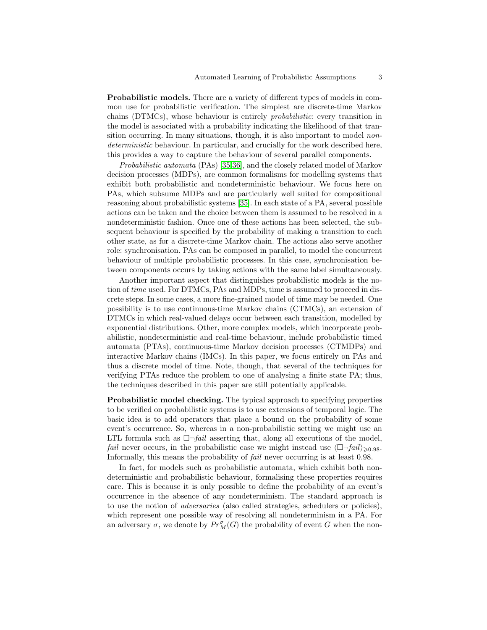Probabilistic models. There are a variety of different types of models in common use for probabilistic verification. The simplest are discrete-time Markov chains (DTMCs), whose behaviour is entirely probabilistic: every transition in the model is associated with a probability indicating the likelihood of that transition occurring. In many situations, though, it is also important to model nondeterministic behaviour. In particular, and crucially for the work described here, this provides a way to capture the behaviour of several parallel components.

Probabilistic automata (PAs) [35,36], and the closely related model of Markov decision processes (MDPs), are common formalisms for modelling systems that exhibit both probabilistic and nondeterministic behaviour. We focus here on PAs, which subsume MDPs and are particularly well suited for compositional reasoning about probabilistic systems [35]. In each state of a PA, several possible actions can be taken and the choice between them is assumed to be resolved in a nondeterministic fashion. Once one of these actions has been selected, the subsequent behaviour is specified by the probability of making a transition to each other state, as for a discrete-time Markov chain. The actions also serve another role: synchronisation. PAs can be composed in parallel, to model the concurrent behaviour of multiple probabilistic processes. In this case, synchronisation between components occurs by taking actions with the same label simultaneously.

Another important aspect that distinguishes probabilistic models is the notion of time used. For DTMCs, PAs and MDPs, time is assumed to proceed in discrete steps. In some cases, a more fine-grained model of time may be needed. One possibility is to use continuous-time Markov chains (CTMCs), an extension of DTMCs in which real-valued delays occur between each transition, modelled by exponential distributions. Other, more complex models, which incorporate probabilistic, nondeterministic and real-time behaviour, include probabilistic timed automata (PTAs), continuous-time Markov decision processes (CTMDPs) and interactive Markov chains (IMCs). In this paper, we focus entirely on PAs and thus a discrete model of time. Note, though, that several of the techniques for verifying PTAs reduce the problem to one of analysing a finite state PA; thus, the techniques described in this paper are still potentially applicable.

Probabilistic model checking. The typical approach to specifying properties to be verified on probabilistic systems is to use extensions of temporal logic. The basic idea is to add operators that place a bound on the probability of some event's occurrence. So, whereas in a non-probabilistic setting we might use an LTL formula such as  $\Box \neg \text{fail}$  asserting that, along all executions of the model, *fail* never occurs, in the probabilistic case we might instead use  $\langle \Box \neg \text{fail} \rangle_{\geq 0.98}$ . Informally, this means the probability of fail never occurring is at least 0.98.

In fact, for models such as probabilistic automata, which exhibit both nondeterministic and probabilistic behaviour, formalising these properties requires care. This is because it is only possible to define the probability of an event's occurrence in the absence of any nondeterminism. The standard approach is to use the notion of adversaries (also called strategies, schedulers or policies), which represent one possible way of resolving all nondeterminism in a PA. For an adversary  $\sigma$ , we denote by  $Pr_{M}^{\sigma}(G)$  the probability of event G when the non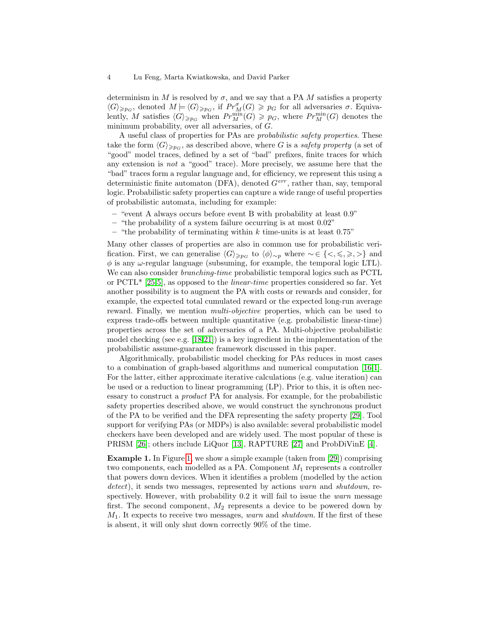determinism in M is resolved by  $\sigma$ , and we say that a PA M satisfies a property  $\langle G \rangle_{\geqslant p_G}$ , denoted  $M \models \langle G \rangle_{\geqslant p_G}$ , if  $Pr_{M(G)}^{\sigma}(G) \geqslant p_G$  for all adversaries  $\sigma$ . Equivalently, M satisfies  $\langle G \rangle_{\geqslant p_G}$  when  $Pr_M^{\min}(G) \geqslant p_G$ , where  $Pr_M^{\min}(G)$  denotes the minimum probability, over all adversaries, of G.

A useful class of properties for PAs are probabilistic safety properties. These take the form  $\langle G \rangle_{\geq p_G}$ , as described above, where G is a safety property (a set of "good" model traces, defined by a set of "bad" prefixes, finite traces for which any extension is not a "good" trace). More precisely, we assume here that the "bad" traces form a regular language and, for efficiency, we represent this using a deterministic finite automaton (DFA), denoted  $G<sup>err</sup>$ , rather than, say, temporal logic. Probabilistic safety properties can capture a wide range of useful properties of probabilistic automata, including for example:

- "event A always occurs before event B with probability at least 0.9"
- "the probability of a system failure occurring is at most 0.02"
- "the probability of terminating within  $k$  time-units is at least 0.75"

Many other classes of properties are also in common use for probabilistic verification. First, we can generalise  $\langle G \rangle_{\geq p_G}$  to  $\langle \phi \rangle_{\sim p}$  where ∼ ∈ {<, ≤, ≥, >} and  $\phi$  is any  $\omega$ -regular language (subsuming, for example, the temporal logic LTL). We can also consider *branching-time* probabilistic temporal logics such as PCTL or PCTL\* [25,5], as opposed to the linear-time properties considered so far. Yet another possibility is to augment the PA with costs or rewards and consider, for example, the expected total cumulated reward or the expected long-run average reward. Finally, we mention *multi-objective* properties, which can be used to express trade-offs between multiple quantitative (e.g. probabilistic linear-time) properties across the set of adversaries of a PA. Multi-objective probabilistic model checking (see e.g.  $[18,21]$ ) is a key ingredient in the implementation of the probabilistic assume-guarantee framework discussed in this paper.

Algorithmically, probabilistic model checking for PAs reduces in most cases to a combination of graph-based algorithms and numerical computation [16,1]. For the latter, either approximate iterative calculations (e.g. value iteration) can be used or a reduction to linear programming (LP). Prior to this, it is often necessary to construct a product PA for analysis. For example, for the probabilistic safety properties described above, we would construct the synchronous product of the PA to be verified and the DFA representing the safety property [29]. Tool support for verifying PAs (or MDPs) is also available: several probabilistic model checkers have been developed and are widely used. The most popular of these is PRISM [26]; others include LiQuor [13], RAPTURE [27] and ProbDiVinE [4].

Example 1. In Figure 1, we show a simple example (taken from [29]) comprising two components, each modelled as a PA. Component  $M_1$  represents a controller that powers down devices. When it identifies a problem (modelled by the action detect), it sends two messages, represented by actions warn and shutdown, respectively. However, with probability 0.2 it will fail to issue the warn message first. The second component,  $M_2$  represents a device to be powered down by  $M_1$ . It expects to receive two messages, warn and shutdown. If the first of these is absent, it will only shut down correctly 90% of the time.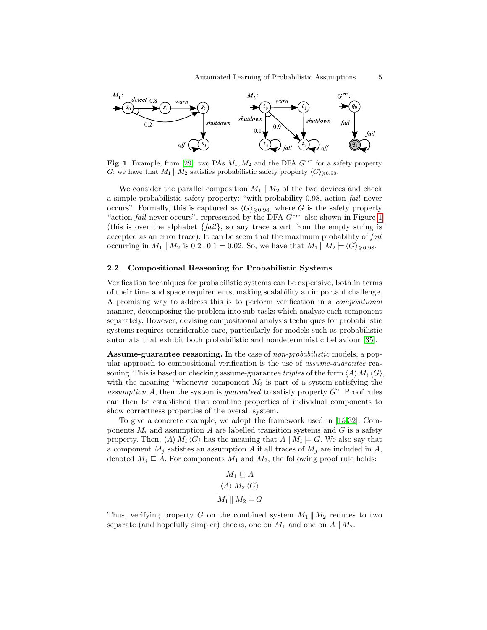

Fig. 1. Example, from [29]: two PAs  $M_1, M_2$  and the DFA  $G^{err}$  for a safety property G; we have that  $M_1 \parallel M_2$  satisfies probabilistic safety property  $\langle G \rangle_{\geq 0.98}$ .

We consider the parallel composition  $M_1 \parallel M_2$  of the two devices and check a simple probabilistic safety property: "with probability 0.98, action fail never occurs". Formally, this is captured as  $\langle G \rangle_{\geq 0.98}$ , where G is the safety property "action fail never occurs", represented by the DFA  $G<sup>err</sup>$  also shown in Figure 1 (this is over the alphabet {fail}, so any trace apart from the empty string is accepted as an error trace). It can be seem that the maximum probability of fail occurring in  $M_1 \parallel M_2$  is  $0.2 \cdot 0.1 = 0.02$ . So, we have that  $M_1 \parallel M_2 \models \langle G \rangle_{\geq 0.98}$ .

#### 2.2 Compositional Reasoning for Probabilistic Systems

Verification techniques for probabilistic systems can be expensive, both in terms of their time and space requirements, making scalability an important challenge. A promising way to address this is to perform verification in a compositional manner, decomposing the problem into sub-tasks which analyse each component separately. However, devising compositional analysis techniques for probabilistic systems requires considerable care, particularly for models such as probabilistic automata that exhibit both probabilistic and nondeterministic behaviour [35].

Assume-guarantee reasoning. In the case of non-probabilistic models, a popular approach to compositional verification is the use of *assume-quarantee* reasoning. This is based on checking assume-guarantee triples of the form  $\langle A \rangle M_i \langle G \rangle$ , with the meaning "whenever component  $M_i$  is part of a system satisfying the assumption  $A$ , then the system is *guaranteed* to satisfy property  $G$ ". Proof rules can then be established that combine properties of individual components to show correctness properties of the overall system.

To give a concrete example, we adopt the framework used in [15,32]. Components  $M_i$  and assumption A are labelled transition systems and G is a safety property. Then,  $\langle A \rangle M_i \langle G \rangle$  has the meaning that  $A \parallel M_i \models G$ . We also say that a component  $M_j$  satisfies an assumption A if all traces of  $M_j$  are included in A, denoted  $M_j \sqsubseteq A$ . For components  $M_1$  and  $M_2$ , the following proof rule holds:

$$
M_1 \sqsubseteq A
$$
  

$$
\langle A \rangle M_2 \langle G \rangle
$$
  

$$
M_1 || M_2 \models G
$$

Thus, verifying property G on the combined system  $M_1 \parallel M_2$  reduces to two separate (and hopefully simpler) checks, one on  $M_1$  and one on  $A \parallel M_2$ .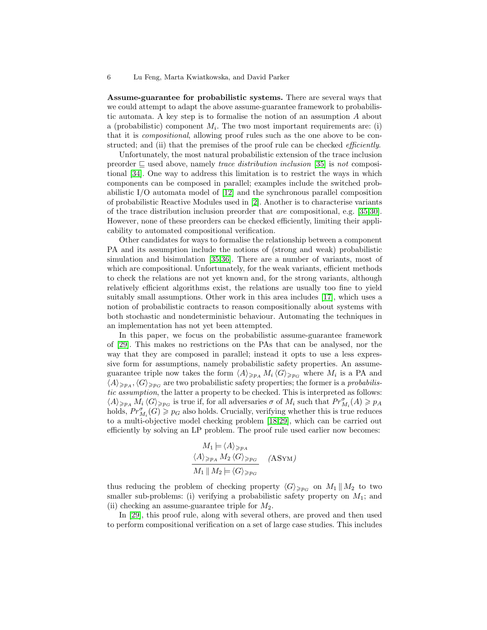Assume-guarantee for probabilistic systems. There are several ways that we could attempt to adapt the above assume-guarantee framework to probabilistic automata. A key step is to formalise the notion of an assumption  $A$  about a (probabilistic) component  $M_i$ . The two most important requirements are: (i) that it is compositional, allowing proof rules such as the one above to be constructed; and (ii) that the premises of the proof rule can be checked *efficiently*.

Unfortunately, the most natural probabilistic extension of the trace inclusion preorder  $\subseteq$  used above, namely trace distribution inclusion [35] is not compositional [34]. One way to address this limitation is to restrict the ways in which components can be composed in parallel; examples include the switched probabilistic I/O automata model of [12] and the synchronous parallel composition of probabilistic Reactive Modules used in [2]. Another is to characterise variants of the trace distribution inclusion preorder that are compositional, e.g. [35,30]. However, none of these preorders can be checked efficiently, limiting their applicability to automated compositional verification.

Other candidates for ways to formalise the relationship between a component PA and its assumption include the notions of (strong and weak) probabilistic simulation and bisimulation [35,36]. There are a number of variants, most of which are compositional. Unfortunately, for the weak variants, efficient methods to check the relations are not yet known and, for the strong variants, although relatively efficient algorithms exist, the relations are usually too fine to yield suitably small assumptions. Other work in this area includes [17], which uses a notion of probabilistic contracts to reason compositionally about systems with both stochastic and nondeterministic behaviour. Automating the techniques in an implementation has not yet been attempted.

In this paper, we focus on the probabilistic assume-guarantee framework of [29]. This makes no restrictions on the PAs that can be analysed, nor the way that they are composed in parallel; instead it opts to use a less expressive form for assumptions, namely probabilistic safety properties. An assumeguarantee triple now takes the form  $\langle A \rangle_{\geq p_A} M_i \langle G \rangle_{\geq p_G}$  where  $M_i$  is a PA and  $\langle A\rangle_{\geqslant p_A}, \langle G\rangle_{\geqslant p_G}$  are two probabilistic safety properties; the former is a probabilistic assumption, the latter a property to be checked. This is interpreted as follows:  $\langle A\rangle_{\geqslant p_A} M_i \langle G\rangle_{\geqslant p_G}$  is true if, for all adversaries  $\sigma$  of  $M_i$  such that  $Pr^{\sigma}_{M_i}(A)\geqslant p_A$ holds,  $Pr_{M_i}^{\sigma}(G) \geq p_G$  also holds. Crucially, verifying whether this is true reduces to a multi-objective model checking problem [18,29], which can be carried out efficiently by solving an LP problem. The proof rule used earlier now becomes:

$$
M_1 \models \langle A \rangle_{\geq p_A}
$$
  

$$
\frac{\langle A \rangle_{\geq p_A} M_2 \langle G \rangle_{\geq p_G}}{M_1 \parallel M_2 \models \langle G \rangle_{\geq p_G}}
$$
 (ASYM)

thus reducing the problem of checking property  $\langle G \rangle_{\geq p_G}$  on  $M_1 || M_2$  to two smaller sub-problems: (i) verifying a probabilistic safety property on  $M_1$ ; and (ii) checking an assume-guarantee triple for  $M_2$ .

In [29], this proof rule, along with several others, are proved and then used to perform compositional verification on a set of large case studies. This includes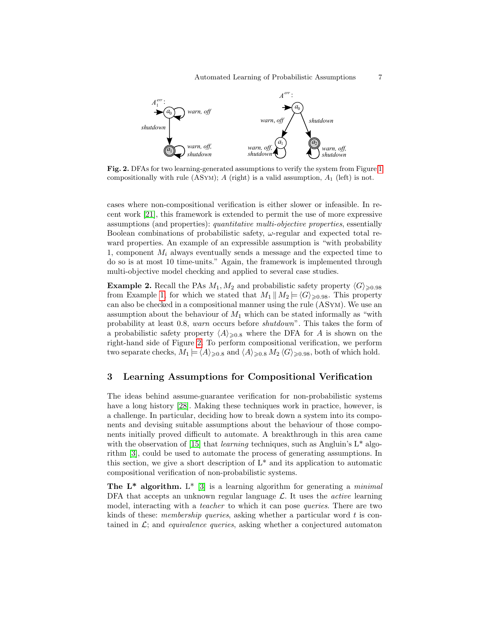

Fig. 2. DFAs for two learning-generated assumptions to verify the system from Figure 1 compositionally with rule (ASYM);  $A$  (right) is a valid assumption,  $A_1$  (left) is not.

cases where non-compositional verification is either slower or infeasible. In recent work [21], this framework is extended to permit the use of more expressive assumptions (and properties): quantitative multi-objective properties, essentially Boolean combinations of probabilistic safety,  $\omega$ -regular and expected total reward properties. An example of an expressible assumption is "with probability 1, component  $M_i$  always eventually sends a message and the expected time to do so is at most 10 time-units." Again, the framework is implemented through multi-objective model checking and applied to several case studies.

**Example 2.** Recall the PAs  $M_1, M_2$  and probabilistic safety property  $\langle G \rangle_{\geq 0.98}$ from Example 1, for which we stated that  $M_1 \parallel M_2 \models \langle G \rangle_{\geq 0.98}$ . This property can also be checked in a compositional manner using the rule (ASym). We use an assumption about the behaviour of  $M_1$  which can be stated informally as "with probability at least 0.8, warn occurs before shutdown". This takes the form of a probabilistic safety property  $\langle A \rangle_{\geq 0.8}$  where the DFA for A is shown on the right-hand side of Figure 2. To perform compositional verification, we perform two separate checks,  $M_1 \models \langle A \rangle_{\geqslant 0.8}$  and  $\langle A \rangle_{\geqslant 0.8}$   $M_2 \langle G \rangle_{\geqslant 0.98}$ , both of which hold.

## 3 Learning Assumptions for Compositional Verification

The ideas behind assume-guarantee verification for non-probabilistic systems have a long history [28]. Making these techniques work in practice, however, is a challenge. In particular, deciding how to break down a system into its components and devising suitable assumptions about the behaviour of those components initially proved difficult to automate. A breakthrough in this area came with the observation of [15] that *learning* techniques, such as Angluin's  $L^*$  algorithm [3], could be used to automate the process of generating assumptions. In this section, we give a short description of  $L^*$  and its application to automatic compositional verification of non-probabilistic systems.

**The L<sup>\*</sup>** algorithm. L<sup>\*</sup> [3] is a learning algorithm for generating a minimal DFA that accepts an unknown regular language  $\mathcal{L}$ . It uses the *active* learning model, interacting with a *teacher* to which it can pose *queries*. There are two kinds of these: *membership queries*, asking whether a particular word  $t$  is contained in  $\mathcal{L}$ ; and *equivalence queries*, asking whether a conjectured automaton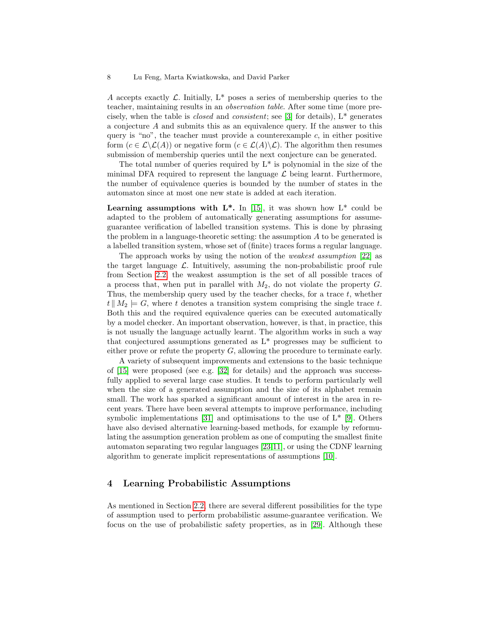A accepts exactly  $\mathcal L$ . Initially,  $L^*$  poses a series of membership queries to the teacher, maintaining results in an observation table. After some time (more precisely, when the table is *closed* and *consistent*; see [3] for details),  $L^*$  generates a conjecture A and submits this as an equivalence query. If the answer to this query is "no", the teacher must provide a counterexample  $c$ , in either positive form  $(c \in \mathcal{L}\backslash \mathcal{L}(A))$  or negative form  $(c \in \mathcal{L}(A)\backslash \mathcal{L})$ . The algorithm then resumes submission of membership queries until the next conjecture can be generated.

The total number of queries required by  $L^*$  is polynomial in the size of the minimal DFA required to represent the language  $\mathcal L$  being learnt. Furthermore, the number of equivalence queries is bounded by the number of states in the automaton since at most one new state is added at each iteration.

**Learning assumptions with L<sup>\*</sup>.** In [15], it was shown how L<sup>\*</sup> could be adapted to the problem of automatically generating assumptions for assumeguarantee verification of labelled transition systems. This is done by phrasing the problem in a language-theoretic setting: the assumption A to be generated is a labelled transition system, whose set of (finite) traces forms a regular language.

The approach works by using the notion of the weakest assumption [22] as the target language  $\mathcal{L}$ . Intuitively, assuming the non-probabilistic proof rule from Section 2.2, the weakest assumption is the set of all possible traces of a process that, when put in parallel with  $M_2$ , do not violate the property  $G$ . Thus, the membership query used by the teacher checks, for a trace  $t$ , whether  $t \parallel M_2 \models G$ , where t denotes a transition system comprising the single trace t. Both this and the required equivalence queries can be executed automatically by a model checker. An important observation, however, is that, in practice, this is not usually the language actually learnt. The algorithm works in such a way that conjectured assumptions generated as  $L^*$  progresses may be sufficient to either prove or refute the property  $G$ , allowing the procedure to terminate early.

A variety of subsequent improvements and extensions to the basic technique of [15] were proposed (see e.g. [32] for details) and the approach was successfully applied to several large case studies. It tends to perform particularly well when the size of a generated assumption and the size of its alphabet remain small. The work has sparked a significant amount of interest in the area in recent years. There have been several attempts to improve performance, including symbolic implementations [31] and optimisations to the use of  $L^*$  [9]. Others have also devised alternative learning-based methods, for example by reformulating the assumption generation problem as one of computing the smallest finite automaton separating two regular languages [23,11], or using the CDNF learning algorithm to generate implicit representations of assumptions [10].

# 4 Learning Probabilistic Assumptions

As mentioned in Section 2.2, there are several different possibilities for the type of assumption used to perform probabilistic assume-guarantee verification. We focus on the use of probabilistic safety properties, as in [29]. Although these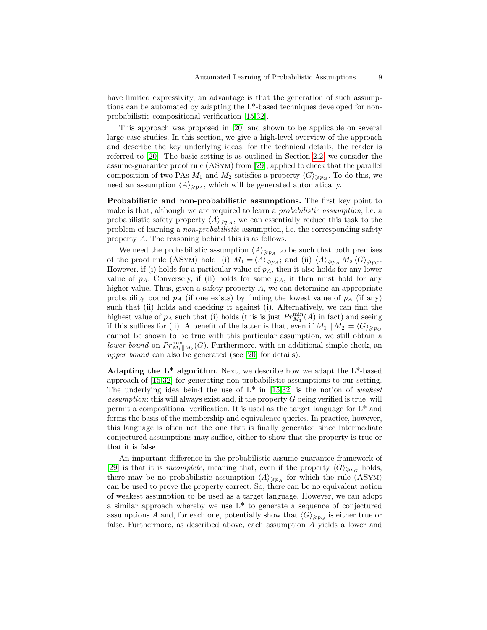have limited expressivity, an advantage is that the generation of such assumptions can be automated by adapting the L\*-based techniques developed for nonprobabilistic compositional verification [15,32].

This approach was proposed in [20] and shown to be applicable on several large case studies. In this section, we give a high-level overview of the approach and describe the key underlying ideas; for the technical details, the reader is referred to [20]. The basic setting is as outlined in Section 2.2: we consider the assume-guarantee proof rule (ASym) from [29], applied to check that the parallel composition of two PAs  $M_1$  and  $M_2$  satisfies a property  $\langle G \rangle_{\geq 0}$ . To do this, we need an assumption  $\langle A \rangle_{\geq p_A}$ , which will be generated automatically.

Probabilistic and non-probabilistic assumptions. The first key point to make is that, although we are required to learn a *probabilistic assumption*, i.e. a probabilistic safety property  $\langle A \rangle_{\geq p_A}$ , we can essentially reduce this task to the problem of learning a non-probabilistic assumption, i.e. the corresponding safety property A. The reasoning behind this is as follows.

We need the probabilistic assumption  $\langle A \rangle_{\geq p_A}$  to be such that both premises of the proof rule (ASYM) hold: (i)  $M_1 \models \langle A \rangle_{\geqslant p_A}$ ; and (ii)  $\langle A \rangle_{\geqslant p_A} M_2 \langle G \rangle_{\geqslant p_G}$ . However, if (i) holds for a particular value of  $p<sub>A</sub>$ , then it also holds for any lower value of  $p_A$ . Conversely, if (ii) holds for some  $p_A$ , it then must hold for any higher value. Thus, given a safety property A, we can determine an appropriate probability bound  $p_A$  (if one exists) by finding the lowest value of  $p_A$  (if any) such that (ii) holds and checking it against (i). Alternatively, we can find the highest value of  $p_A$  such that (i) holds (this is just  $Pr_{M_1}^{\min}(A)$  in fact) and seeing if this suffices for (ii). A benefit of the latter is that, even if  $M_1 \parallel M_2 \models \langle G \rangle_{\geqslant p_G}$ cannot be shown to be true with this particular assumption, we still obtain a lower bound on  $Pr_{M_1||M_2}^{\min}(G)$ . Furthermore, with an additional simple check, an upper bound can also be generated (see [20] for details).

Adapting the  $L^*$  algorithm. Next, we describe how we adapt the  $L^*$ -based approach of [15,32] for generating non-probabilistic assumptions to our setting. The underlying idea beind the use of  $L^*$  in [15,32] is the notion of weakest assumption: this will always exist and, if the property  $G$  being verified is true, will permit a compositional verification. It is used as the target language for L\* and forms the basis of the membership and equivalence queries. In practice, however, this language is often not the one that is finally generated since intermediate conjectured assumptions may suffice, either to show that the property is true or that it is false.

An important difference in the probabilistic assume-guarantee framework of [29] is that it is *incomplete*, meaning that, even if the property  $\langle G \rangle_{\geq p_G}$  holds, there may be no probabilistic assumption  $\langle A \rangle_{\geq p_A}$  for which the rule (ASYM) can be used to prove the property correct. So, there can be no equivalent notion of weakest assumption to be used as a target language. However, we can adopt a similar approach whereby we use  $L^*$  to generate a sequence of conjectured assumptions A and, for each one, potentially show that  $\langle G \rangle_{\geq p_G}$  is either true or false. Furthermore, as described above, each assumption A yields a lower and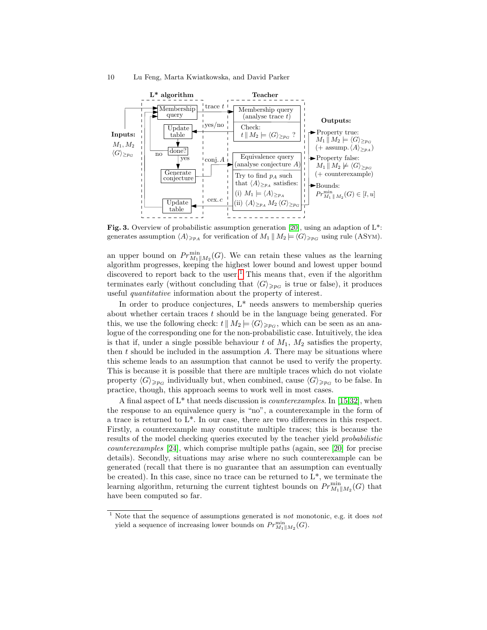#### 10 Lu Feng, Marta Kwiatkowska, and David Parker



Fig. 3. Overview of probabilistic assumption generation [20], using an adaption of  $L^*$ : generates assumption  $\langle A \rangle_{\geq p_A}$  for verification of  $M_1 \parallel M_2 \models \langle G \rangle_{\geq p_G}$  using rule (ASYM).

an upper bound on  $Pr_{M_1||M_2}^{\min}(G)$ . We can retain these values as the learning algorithm progresses, keeping the highest lower bound and lowest upper bound discovered to report back to the user.<sup>1</sup> This means that, even if the algorithm terminates early (without concluding that  $\langle G \rangle_{\geq p_G}$  is true or false), it produces useful quantitative information about the property of interest.

In order to produce conjectures,  $L^*$  needs answers to membership queries about whether certain traces  $t$  should be in the language being generated. For this, we use the following check:  $t \parallel M_2 \models \langle G \rangle_{\geq p_G}$ , which can be seen as an analogue of the corresponding one for the non-probabilistic case. Intuitively, the idea is that if, under a single possible behaviour t of  $M_1$ ,  $M_2$  satisfies the property, then  $t$  should be included in the assumption  $A$ . There may be situations where this scheme leads to an assumption that cannot be used to verify the property. This is because it is possible that there are multiple traces which do not violate property  $\langle G \rangle_{\geqslant p_G}$  individually but, when combined, cause  $\langle G \rangle_{\geqslant p_G}$  to be false. In practice, though, this approach seems to work well in most cases.

A final aspect of  $L^*$  that needs discussion is *counterexamples*. In [15,32], when the response to an equivalence query is "no", a counterexample in the form of a trace is returned to L\*. In our case, there are two differences in this respect. Firstly, a counterexample may constitute multiple traces; this is because the results of the model checking queries executed by the teacher yield probabilistic counterexamples [24], which comprise multiple paths (again, see [20] for precise details). Secondly, situations may arise where no such counterexample can be generated (recall that there is no guarantee that an assumption can eventually be created). In this case, since no trace can be returned to  $L^*$ , we terminate the learning algorithm, returning the current tightest bounds on  $Pr_{M_1||M_2}^{\min}(G)$  that have been computed so far.

<sup>&</sup>lt;sup>1</sup> Note that the sequence of assumptions generated is *not* monotonic, e.g. it does *not* yield a sequence of increasing lower bounds on  $Pr_{M_1||M_2}^{\min}(G)$ .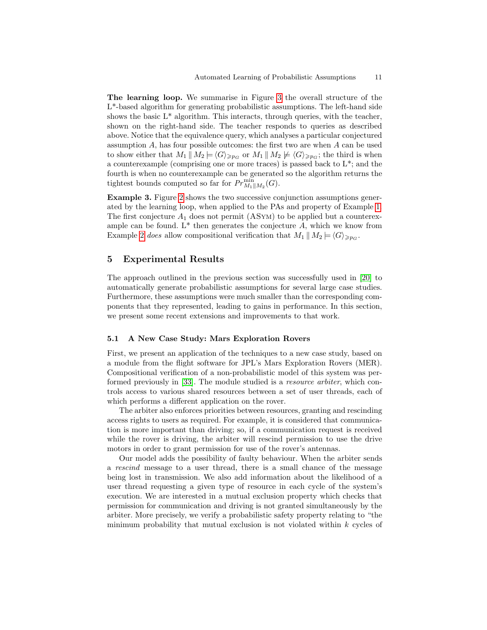The learning loop. We summarise in Figure 3 the overall structure of the L\*-based algorithm for generating probabilistic assumptions. The left-hand side shows the basic  $L^*$  algorithm. This interacts, through queries, with the teacher, shown on the right-hand side. The teacher responds to queries as described above. Notice that the equivalence query, which analyses a particular conjectured assumption  $A$ , has four possible outcomes: the first two are when  $A$  can be used to show either that  $M_1 \parallel M_2 \models \langle G \rangle_{\geq p_G}$  or  $M_1 \parallel M_2 \not\models \langle G \rangle_{\geq p_G}$ ; the third is when a counterexample (comprising one or more traces) is passed back to L\*; and the fourth is when no counterexample can be generated so the algorithm returns the tightest bounds computed so far for  $Pr_{M_1||M_2}^{\min}(G)$ .

Example 3. Figure 2 shows the two successive conjunction assumptions generated by the learning loop, when applied to the PAs and property of Example 1. The first conjecture  $A_1$  does not permit (ASYM) to be applied but a counterexample can be found.  $L^*$  then generates the conjecture  $A$ , which we know from Example 2 does allow compositional verification that  $M_1 \parallel M_2 \models \langle G \rangle_{\geq p_G}$ .

## 5 Experimental Results

The approach outlined in the previous section was successfully used in [20] to automatically generate probabilistic assumptions for several large case studies. Furthermore, these assumptions were much smaller than the corresponding components that they represented, leading to gains in performance. In this section, we present some recent extensions and improvements to that work.

#### 5.1 A New Case Study: Mars Exploration Rovers

First, we present an application of the techniques to a new case study, based on a module from the flight software for JPL's Mars Exploration Rovers (MER). Compositional verification of a non-probabilistic model of this system was performed previously in [33]. The module studied is a *resource arbiter*, which controls access to various shared resources between a set of user threads, each of which performs a different application on the rover.

The arbiter also enforces priorities between resources, granting and rescinding access rights to users as required. For example, it is considered that communication is more important than driving; so, if a communication request is received while the rover is driving, the arbiter will rescind permission to use the drive motors in order to grant permission for use of the rover's antennas.

Our model adds the possibility of faulty behaviour. When the arbiter sends a rescind message to a user thread, there is a small chance of the message being lost in transmission. We also add information about the likelihood of a user thread requesting a given type of resource in each cycle of the system's execution. We are interested in a mutual exclusion property which checks that permission for communication and driving is not granted simultaneously by the arbiter. More precisely, we verify a probabilistic safety property relating to "the minimum probability that mutual exclusion is not violated within  $k$  cycles of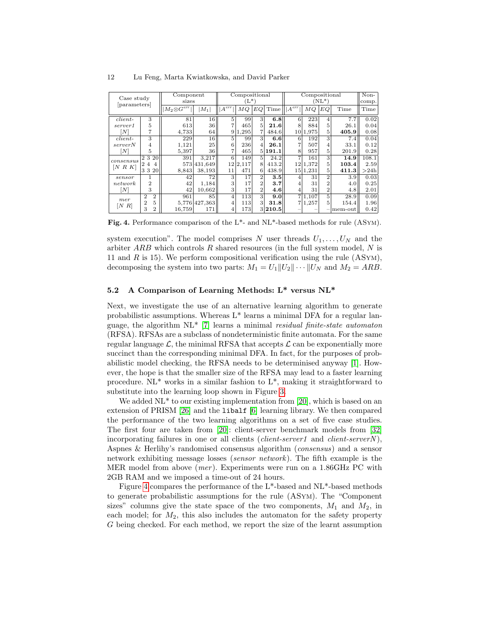| Case study<br>[parameters]   |                                  | Component                           | Compositional<br>$(\Gamma_{\ast})$ |                                  |           |                | Compositional | Non-                   |         |                |         |       |
|------------------------------|----------------------------------|-------------------------------------|------------------------------------|----------------------------------|-----------|----------------|---------------|------------------------|---------|----------------|---------|-------|
|                              |                                  | sizes                               |                                    |                                  |           |                |               | comp.                  |         |                |         |       |
|                              |                                  | $M_2{\mathord{ \otimes } } G^{err}$ | $ M_1 $                            | $\ensuremath{\textit{err}}$<br>A | ΜQ        | EQ             | Time          | $(A^{\overline{err}})$ | MQ      | EQ             | Time    | Time  |
| $client-$                    | 3                                | 81                                  | 16                                 | 5                                | 99        | 3              | 6.8           | 6                      | 223     | 4              | 7.7     | 0.02  |
| server1                      | 5                                | 613                                 | 36                                 |                                  | 465       | 5              | $\bf 21.6$    |                        | 884     | 5              | 26.1    | 0.04  |
| $\lceil N \rceil$            |                                  | 4,733                               | 64                                 | 9                                | 1,295     | 7              | 484.6         | 10 <sup>1</sup>        | 1,975   | 5              | 405.9   | 0.08  |
| $\overline{client}$          | 3                                | $\overline{229}$                    | 16                                 | 5                                | 99        | 3              | 6.6           | 6                      | 192     | 3              | 7.4     | 0.04  |
| serverN                      | 4                                | 1,121                               | 25                                 | 6                                | 236       | 4              | 26.1          |                        | 507     | 4              | 33.1    | 0.12  |
| $\lceil N \rceil$            | 5                                | 5,397                               | 36 <sup>°</sup>                    | 7                                | 465       | 5              | 191.1         | 8                      | 957     | 5              | 201.9   | 0.28  |
|                              | 2 3 20                           | 391                                 | 3,217                              | 6                                | 149       | $\overline{5}$ | 24.2          | 7                      | 161     | 3              | 14.9    | 108.1 |
| consensus<br>$[N \; R \; K]$ | $^{\prime}2$<br>4                |                                     | 573 431,649                        |                                  | 12 2, 117 | 8              | 413.2         | 12                     | 1,372   | 5              | 103.4   | 2.59  |
|                              | 3 3 20                           | 8,843                               | 38,193                             | 11                               | 471       | 6              | 438.9         | 15                     | 1,231   | 5              | 411.3   | >24h  |
| sensor                       |                                  | 42                                  | 72                                 | 3                                | 17        | $\overline{2}$ | 3.5           |                        | 31      | $\overline{2}$ | 3.9     | 0.03  |
| network                      | $\overline{2}$                   | 42                                  | 1,184                              | 3                                | 17        | $\overline{2}$ | 3.7           |                        | 31      | $\overline{2}$ | 4.0     | 0.25  |
| $\lceil N \rceil$            | 3                                | 42                                  | 10,662                             | 3                                | 17        | $\overline{2}$ | $4.6\,$       |                        | 31      | 2              | 4.8     | 2.01  |
|                              | $\overline{2}$<br>$\overline{2}$ | 961                                 | 85                                 | 4                                | 113       | 3              | 9.0           |                        | 71.107  | 5              | 28.9    | 0.09  |
| mer<br>$[N \ R]$             | 2<br>5                           |                                     | 5,776 427,363                      | 4                                | 113       | 3              | 31.8          |                        | 7 1,257 | 5              | 154.4   | 1.96  |
|                              | 3<br>$\overline{2}$              | 16,759                              | 171                                | 4                                | 173       |                | 3 210.5       |                        |         |                | mem-out | 0.42  |

Fig. 4. Performance comparison of the L\*- and NL\*-based methods for rule (ASym).

system execution". The model comprises N user threads  $U_1, \ldots, U_N$  and the arbiter  $ARB$  which controls R shared resources (in the full system model, N is 11 and  $R$  is 15). We perform compositional verification using the rule  $(ASym)$ , decomposing the system into two parts:  $M_1 = U_1 || U_2 || \cdots || U_N$  and  $M_2 = ARB$ .

#### 5.2 A Comparison of Learning Methods: L\* versus NL\*

Next, we investigate the use of an alternative learning algorithm to generate probabilistic assumptions. Whereas L\* learns a minimal DFA for a regular language, the algorithm  $NL^*$  [7] learns a minimal *residual finite-state automaton* (RFSA). RFSAs are a subclass of nondeterministic finite automata. For the same regular language  $\mathcal{L}$ , the minimal RFSA that accepts  $\mathcal{L}$  can be exponentially more succinct than the corresponding minimal DFA. In fact, for the purposes of probabilistic model checking, the RFSA needs to be determinised anyway [1]. However, the hope is that the smaller size of the RFSA may lead to a faster learning procedure.  $NL^*$  works in a similar fashion to  $L^*$ , making it straightforward to substitute into the learning loop shown in Figure 3.

We added  $NL^*$  to our existing implementation from [20], which is based on an extension of PRISM [26] and the libalf [6] learning library. We then compared the performance of the two learning algorithms on a set of five case studies. The first four are taken from [20]: client-server benchmark models from [32] incorporating failures in one or all clients (*client-server1* and *client-serverN*), Aspnes & Herlihy's randomised consensus algorithm (consensus) and a sensor network exhibiting message losses (sensor network). The fifth example is the MER model from above  $(mer)$ . Experiments were run on a 1.86GHz PC with 2GB RAM and we imposed a time-out of 24 hours.

Figure 4 compares the performance of the L\*-based and NL\*-based methods to generate probabilistic assumptions for the rule (ASym). The "Component sizes" columns give the state space of the two components,  $M_1$  and  $M_2$ , in each model; for  $M_2$ , this also includes the automaton for the safety property G being checked. For each method, we report the size of the learnt assumption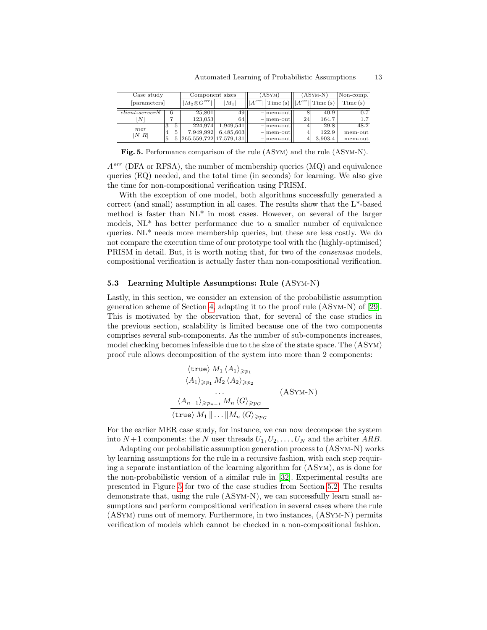| Case study        |   |                | Component sizes                  |           | ASYM)     |                      | (ASym-N)      | $\lfloor$ Non-comp. |         |
|-------------------|---|----------------|----------------------------------|-----------|-----------|----------------------|---------------|---------------------|---------|
| parameters        |   |                | $\mid$ $ M_{2} \otimes G^{err} $ | $M_1$     | $A^{err}$ | $\parallel$ Time (s) | $  A^{err}  $ | Time(s)             | Time(s) |
| $client-serverN$  | 6 |                | 25,801                           | 49        |           | –lmem-outl           |               | 40.9                | 0.71    |
|                   |   |                | 123.053                          | 64        |           | –lmem-outl           | 24            | 164.7               | 1.7     |
|                   |   | 5 <sup>1</sup> | 224.974                          | 1,949,541 |           | –lmem-outl           |               | 29.8                | 48.2    |
| mer<br>$[N \; R]$ | 4 | 5 <sup>1</sup> | 7,949,992                        | 6.485,603 |           | –lmem-outl           |               | 122.9               | mem-out |
|                   | 5 |                | 5  265,559,722 17,579,131        |           |           | –lmem-outl           |               | 3,903.4             | mem-out |

Fig. 5. Performance comparison of the rule (ASym) and the rule (ASym-N).

 $A<sup>err</sup>$  (DFA or RFSA), the number of membership queries (MQ) and equivalence queries (EQ) needed, and the total time (in seconds) for learning. We also give the time for non-compositional verification using PRISM.

With the exception of one model, both algorithms successfully generated a correct (and small) assumption in all cases. The results show that the L\*-based method is faster than NL\* in most cases. However, on several of the larger models, NL\* has better performance due to a smaller number of equivalence queries.  $NL^*$  needs more membership queries, but these are less costly. We do not compare the execution time of our prototype tool with the (highly-optimised) PRISM in detail. But, it is worth noting that, for two of the consensus models, compositional verification is actually faster than non-compositional verification.

#### 5.3 Learning Multiple Assumptions: Rule (ASym-N)

Lastly, in this section, we consider an extension of the probabilistic assumption generation scheme of Section 4, adapting it to the proof rule (ASym-N) of [29]. This is motivated by the observation that, for several of the case studies in the previous section, scalability is limited because one of the two components comprises several sub-components. As the number of sub-components increases, model checking becomes infeasible due to the size of the state space. The (ASym) proof rule allows decomposition of the system into more than 2 components:

$$
\langle \text{true} \rangle M_1 \langle A_1 \rangle_{\geq p_1}
$$
  

$$
\langle A_1 \rangle_{\geq p_1} M_2 \langle A_2 \rangle_{\geq p_2}
$$
  
...  

$$
\langle A_{n-1} \rangle_{\geq p_{n-1}} M_n \langle G \rangle_{\geq p_G}
$$
  

$$
\langle \text{true} \rangle M_1 \| \dots \| M_n \langle G \rangle_{\geq p_G}
$$
  
(ASYM-N)

For the earlier MER case study, for instance, we can now decompose the system into  $N+1$  components: the N user threads  $U_1, U_2, \ldots, U_N$  and the arbiter ARB.

Adapting our probabilistic assumption generation process to (ASym-N) works by learning assumptions for the rule in a recursive fashion, with each step requiring a separate instantiation of the learning algorithm for (ASym), as is done for the non-probabilistic version of a similar rule in [32]. Experimental results are presented in Figure 5 for two of the case studies from Section 5.2. The results demonstrate that, using the rule (ASym-N), we can successfully learn small assumptions and perform compositional verification in several cases where the rule (ASym) runs out of memory. Furthermore, in two instances, (ASym-N) permits verification of models which cannot be checked in a non-compositional fashion.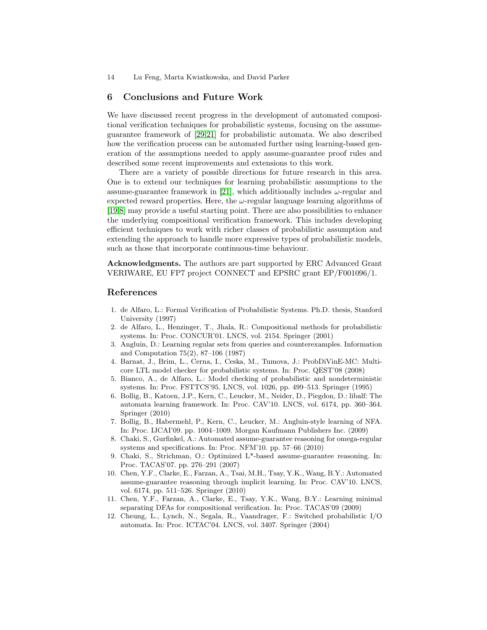14 Lu Feng, Marta Kwiatkowska, and David Parker

# 6 Conclusions and Future Work

We have discussed recent progress in the development of automated compositional verification techniques for probabilistic systems, focusing on the assumeguarantee framework of [29,21] for probabilistic automata. We also described how the verification process can be automated further using learning-based generation of the assumptions needed to apply assume-guarantee proof rules and described some recent improvements and extensions to this work.

There are a variety of possible directions for future research in this area. One is to extend our techniques for learning probabilistic assumptions to the assume-guarantee framework in [21], which additionally includes  $\omega$ -regular and expected reward properties. Here, the  $\omega$ -regular language learning algorithms of [19,8] may provide a useful starting point. There are also possibilities to enhance the underlying compositional verification framework. This includes developing efficient techniques to work with richer classes of probabilistic assumption and extending the approach to handle more expressive types of probabilistic models, such as those that incorporate continuous-time behaviour.

Acknowledgments. The authors are part supported by ERC Advanced Grant VERIWARE, EU FP7 project CONNECT and EPSRC grant EP/F001096/1.

## References

- 1. de Alfaro, L.: Formal Verification of Probabilistic Systems. Ph.D. thesis, Stanford University (1997)
- 2. de Alfaro, L., Henzinger, T., Jhala, R.: Compositional methods for probabilistic systems. In: Proc. CONCUR'01. LNCS, vol. 2154. Springer (2001)
- 3. Angluin, D.: Learning regular sets from queries and counterexamples. Information and Computation 75(2), 87–106 (1987)
- 4. Barnat, J., Brim, L., Cerna, I., Ceska, M., Tumova, J.: ProbDiVinE-MC: Multicore LTL model checker for probabilistic systems. In: Proc. QEST'08 (2008)
- 5. Bianco, A., de Alfaro, L.: Model checking of probabilistic and nondeterministic systems. In: Proc. FSTTCS'95. LNCS, vol. 1026, pp. 499–513. Springer (1995)
- 6. Bollig, B., Katoen, J.P., Kern, C., Leucker, M., Neider, D., Piegdon, D.: libalf: The automata learning framework. In: Proc. CAV'10. LNCS, vol. 6174, pp. 360–364. Springer (2010)
- 7. Bollig, B., Habermehl, P., Kern, C., Leucker, M.: Angluin-style learning of NFA. In: Proc. IJCAI'09. pp. 1004–1009. Morgan Kaufmann Publishers Inc. (2009)
- 8. Chaki, S., Gurfinkel, A.: Automated assume-guarantee reasoning for omega-regular systems and specifications. In: Proc. NFM'10. pp. 57–66 (2010)
- 9. Chaki, S., Strichman, O.: Optimized L\*-based assume-guarantee reasoning. In: Proc. TACAS'07. pp. 276–291 (2007)
- 10. Chen, Y.F., Clarke, E., Farzan, A., Tsai, M.H., Tsay, Y.K., Wang, B.Y.: Automated assume-guarantee reasoning through implicit learning. In: Proc. CAV'10. LNCS, vol. 6174, pp. 511–526. Springer (2010)
- 11. Chen, Y.F., Farzan, A., Clarke, E., Tsay, Y.K., Wang, B.Y.: Learning minimal separating DFAs for compositional verification. In: Proc. TACAS'09 (2009)
- 12. Cheung, L., Lynch, N., Segala, R., Vaandrager, F.: Switched probabilistic I/O automata. In: Proc. ICTAC'04. LNCS, vol. 3407. Springer (2004)